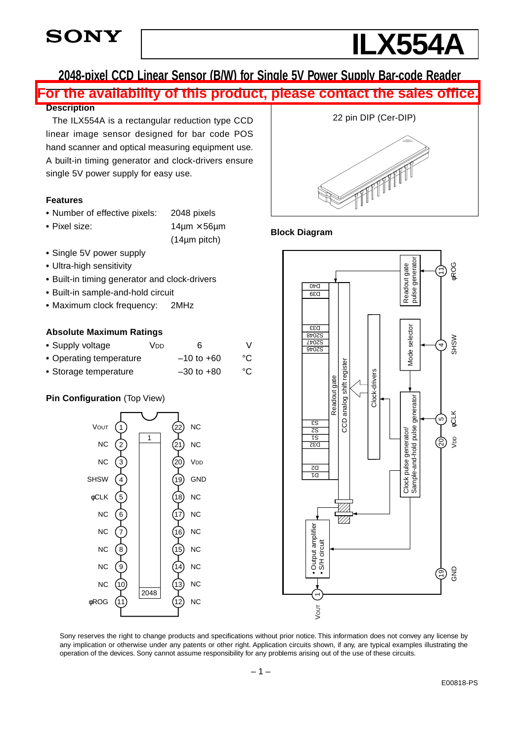

# **ILX554A**

## **2048-pixel CCD Linear Sensor (B/W) for Single 5V Power Supply Bar-code ReaderFor the availability of this product, please contact the sales office.**

#### **Description**

The ILX554A is a rectangular reduction type CCD linear image sensor designed for bar code POS hand scanner and optical measuring equipment use. A built-in timing generator and clock-drivers ensure single 5V power supply for easy use.

#### **Features**

- **•** Number of effective pixels: 2048 pixels
- 

**•** Pixel size: 14µm × 56µm (14µm pitch)

- **•** Single 5V power supply
- **•** Ultra-high sensitivity
- **•** Built-in timing generator and clock-drivers
- **•** Built-in sample-and-hold circuit
- **•** Maximum clock frequency: 2MHz

#### **Absolute Maximum Ratings**

| • Supply voltage        | Vnn. | 6              |    |
|-------------------------|------|----------------|----|
| • Operating temperature |      | $-10$ to +60   | °C |
| • Storage temperature   |      | $-30$ to $+80$ | °C |

## **Pin Configuration** (Top View)





#### **Block Diagram**



Sony reserves the right to change products and specifications without prior notice. This information does not convey any license by any implication or otherwise under any patents or other right. Application circuits shown, if any, are typical examples illustrating the operation of the devices. Sony cannot assume responsibility for any problems arising out of the use of these circuits.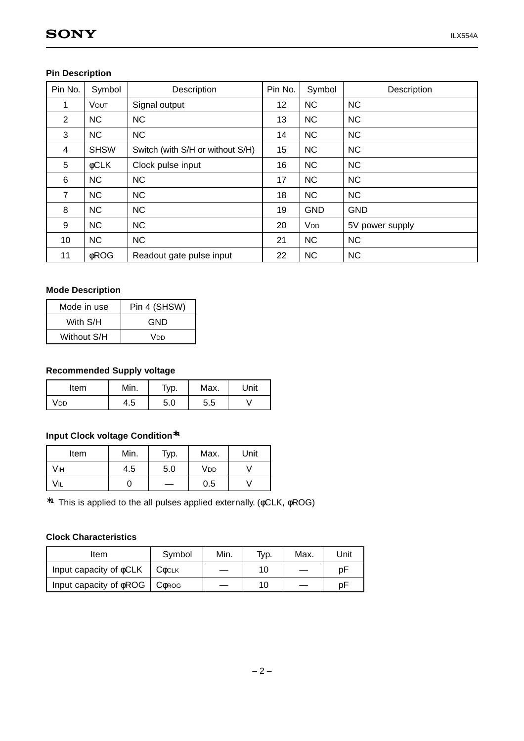| Pin No. | Symbol      | Description                      | Pin No. | Symbol                | Description     |
|---------|-------------|----------------------------------|---------|-----------------------|-----------------|
| 1       | VOUT        | Signal output                    | 12      | <b>NC</b>             | <b>NC</b>       |
| 2       | <b>NC</b>   | <b>NC</b>                        | 13      | <b>NC</b>             | <b>NC</b>       |
| 3       | <b>NC</b>   | <b>NC</b>                        | 14      | <b>NC</b>             | <b>NC</b>       |
| 4       | <b>SHSW</b> | Switch (with S/H or without S/H) | 15      | <b>NC</b>             | <b>NC</b>       |
| 5       | <b>¢CLK</b> | Clock pulse input                | 16      | <b>NC</b>             | <b>NC</b>       |
| 6       | <b>NC</b>   | <b>NC</b>                        | 17      | <b>NC</b>             | <b>NC</b>       |
| 7       | <b>NC</b>   | <b>NC</b>                        | 18      | <b>NC</b>             | <b>NC</b>       |
| 8       | <b>NC</b>   | <b>NC</b>                        | 19      | <b>GND</b>            | <b>GND</b>      |
| 9       | <b>NC</b>   | <b>NC</b>                        | 20      | <b>V<sub>DD</sub></b> | 5V power supply |
| 10      | <b>NC</b>   | <b>NC</b>                        | 21      | <b>NC</b>             | <b>NC</b>       |
| 11      | <b>φROG</b> | Readout gate pulse input         | 22      | <b>NC</b>             | <b>NC</b>       |

## **Pin Description**

## **Mode Description**

| Mode in use | Pin 4 (SHSW) |
|-------------|--------------|
| With S/H    | GND          |
| Without S/H | Vnn          |

#### **Recommended Supply voltage**

| Item | Min. | т <sub>ур.</sub> | Max. | Unit |
|------|------|------------------|------|------|
| 'DD  | 4.5  | 5.0              | 5.5  |      |

## **Input Clock voltage Condition**∗**<sup>1</sup>**

| Item | Min. | Typ. | Max.            | Unit |
|------|------|------|-----------------|------|
| Vıн  | 4.5  | 5.0  | V <sub>DD</sub> |      |
| Vil  |      |      | 0.5             |      |

∗**<sup>1</sup>** This is applied to the all pulses applied externally. (φCLK, φROG)

#### **Clock Characteristics**

| Item                         | Symbol                    | Min. | Typ. | Max. | Unit |
|------------------------------|---------------------------|------|------|------|------|
| Input capacity of $\phi$ CLK | <b>C</b> <sub>b</sub> CLK |      | 10   |      | рF   |
| Input capacity of $\phi$ ROG | <b>COROG</b>              |      |      |      | рF   |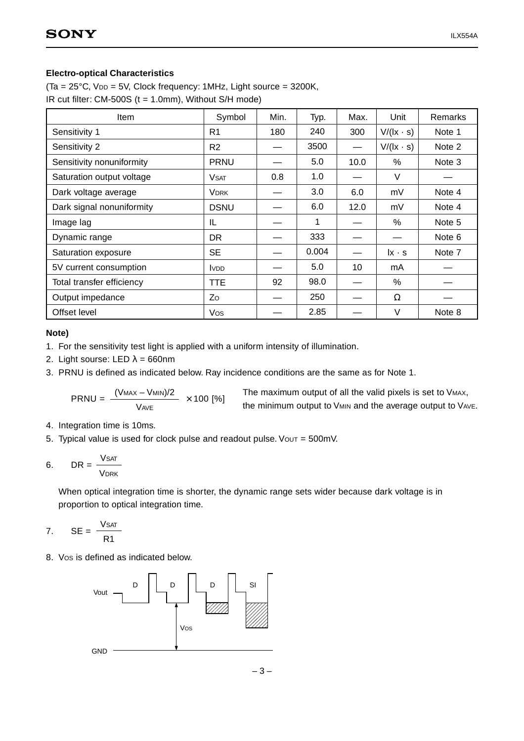#### **Electro-optical Characteristics**

(Ta = 25°C, VDD = 5V, Clock frequency: 1MHz, Light source = 3200K, IR cut filter: CM-500S (t = 1.0mm), Without S/H mode)

| <b>Item</b>               | Symbol                  | Min. | Typ.  | Max. | Unit                                     | Remarks |
|---------------------------|-------------------------|------|-------|------|------------------------------------------|---------|
| Sensitivity 1             | R <sub>1</sub>          | 180  | 240   | 300  | $V/(l \times \cdot s)$                   | Note 1  |
| Sensitivity 2             | R <sub>2</sub>          |      | 3500  |      | $V/(l x \cdot s)$                        | Note 2  |
| Sensitivity nonuniformity | PRNU                    |      | 5.0   | 10.0 | $\%$                                     | Note 3  |
| Saturation output voltage | <b>V</b> <sub>SAT</sub> | 0.8  | 1.0   |      | V                                        |         |
| Dark voltage average      | <b>VDRK</b>             |      | 3.0   | 6.0  | mV                                       | Note 4  |
| Dark signal nonuniformity | <b>DSNU</b>             |      | 6.0   | 12.0 | mV                                       | Note 4  |
| Image lag                 | IL                      |      | 1     |      | $\%$                                     | Note 5  |
| Dynamic range             | DR.                     |      | 333   |      |                                          | Note 6  |
| Saturation exposure       | <b>SE</b>               |      | 0.004 |      | $\mathsf{I} \mathsf{x} \cdot \mathsf{s}$ | Note 7  |
| 5V current consumption    | <b>VDD</b>              |      | 5.0   | 10   | mA                                       |         |
| Total transfer efficiency | TTE.                    | 92   | 98.0  |      | $\%$                                     |         |
| Output impedance          | Zo                      |      | 250   |      | Ω                                        |         |
| Offset level              | Vos                     |      | 2.85  |      | $\vee$                                   | Note 8  |

#### **Note)**

- 1. For the sensitivity test light is applied with a uniform intensity of illumination.
- 2. Light sourse: LED  $\lambda = 660$ nm
- 3. PRNU is defined as indicated below. Ray incidence conditions are the same as for Note 1.

$$
PRNU = \frac{(V_{MAX} - V_{MIN})/2}{V_{AVE}} \times 100 [%]
$$

The maximum output of all the valid pixels is set to VMAX, the minimum output to VMIN and the average output to VAVE.

- 4. Integration time is 10ms.
- 5. Typical value is used for clock pulse and readout pulse. Vout =  $500$ mV.

$$
6. \qquad \text{DR} = \frac{\text{Vsat}}{\text{Vbrk}}
$$

When optical integration time is shorter, the dynamic range sets wider because dark voltage is in proportion to optical integration time.

$$
7. \qquad \text{SE} = \frac{\text{Vsat}}{\text{R1}}
$$

8. VOS is defined as indicated below.



 $-3-$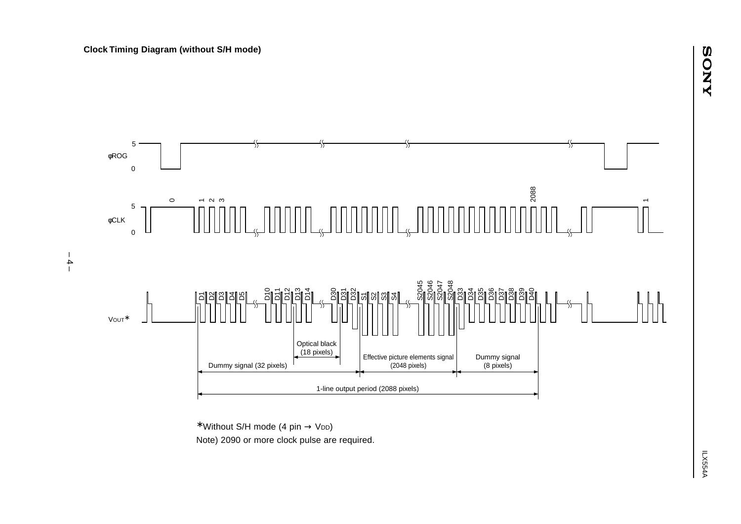

<sup>∗</sup> Without S/H mode (4 pin → VDD)

Note) 2090 or more clock pulse are required.

– 4 –

**ANOS**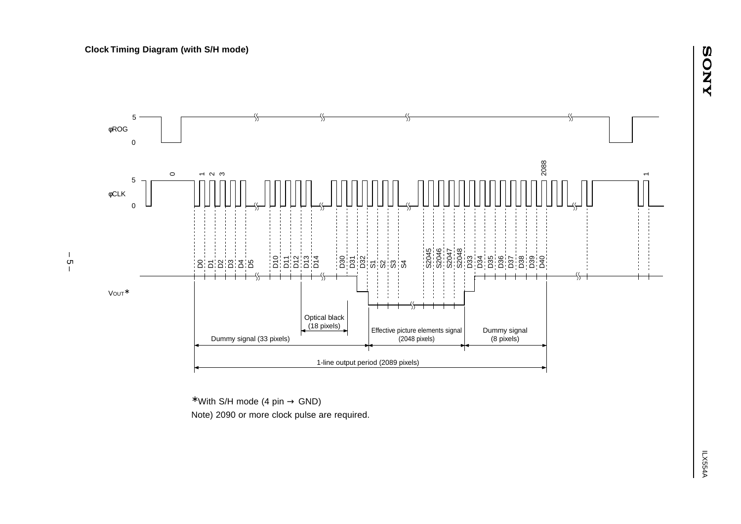

 $*$  With S/H mode (4 pin  $\rightarrow$  GND)

Note) 2090 or more clock pulse are required.

 $\frac{1}{\mathcal{G}}$ –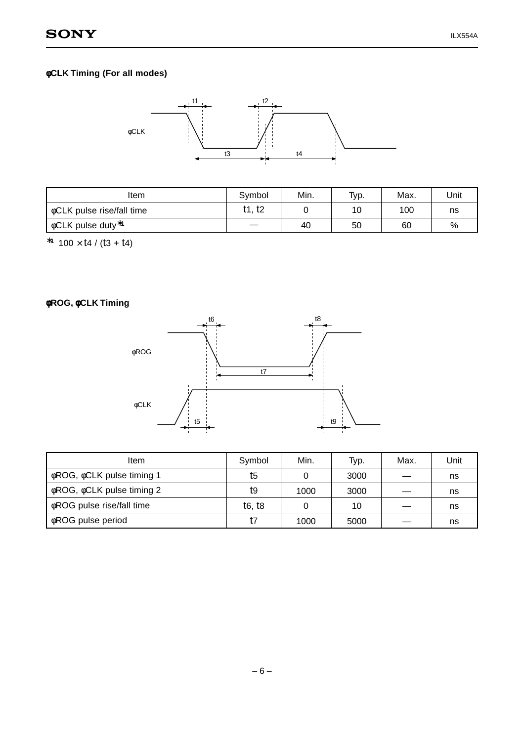## φ**CLK Timing (For all modes)**



| Item                                     | Symbol | Min. | Typ. | Max. | Unit |
|------------------------------------------|--------|------|------|------|------|
| $\phi$ CLK pulse rise/fall time          | t1, t2 |      | 10   | 100  | ns   |
| $\sqrt{6}$ oCLK pulse duty <sup>*1</sup> |        | 40   | 50   | 60   | $\%$ |

∗**<sup>1</sup>** 100 × t4 / (t3 + t4)

φ**ROG,** φ**CLK Timing**



| ltem                                  | Symbol | Min. | Typ. | Max. | Unit |
|---------------------------------------|--------|------|------|------|------|
| φROG, φCLK pulse timing 1             | t5     |      | 3000 |      | ns   |
| $\phi$ ROG, $\phi$ CLK pulse timing 2 | t9     | 1000 | 3000 |      | ns   |
| oROG pulse rise/fall time             | t6. t8 |      | 10   |      | ns   |
| <b>¢ROG</b> pulse period              | t7     | 1000 | 5000 |      | ns   |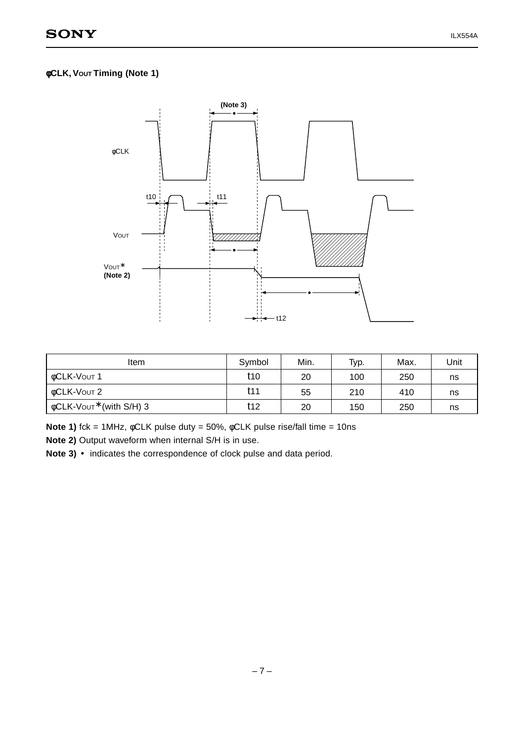## φ**CLK, VOUT Timing (Note 1)**



| Item                                      | Symbol | Min. | Typ. | Max. | Unit |
|-------------------------------------------|--------|------|------|------|------|
| OCLK-VOUT 1                               | t10    | 20   | 100  | 250  | ns   |
| OCLK-VOUT 2                               | t11    | 55   | 210  | 410  | ns   |
| $\phi$ CLK-Vout <sup>*</sup> (with S/H) 3 | t12    | 20   | 150  | 250  | ns   |

**Note 1)** fck = 1MHz, φCLK pulse duty = 50%, φCLK pulse rise/fall time = 10ns

**Note 2)** Output waveform when internal S/H is in use.

Note 3) • indicates the correspondence of clock pulse and data period.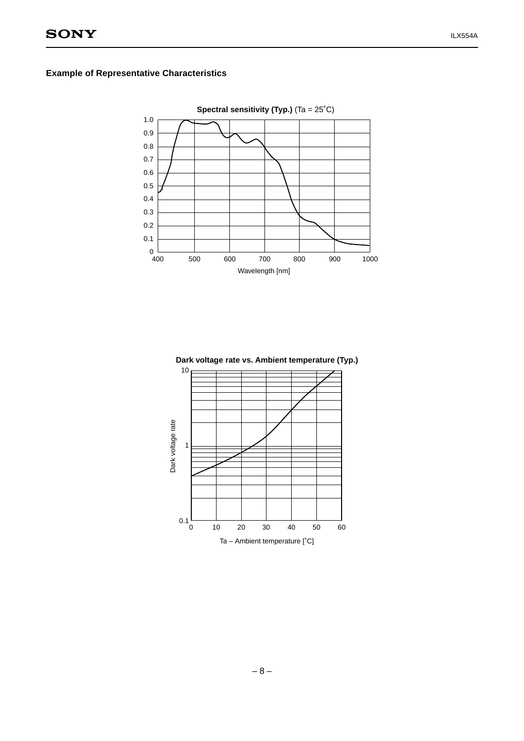## **Example of Representative Characteristics**



**Dark voltage rate vs. Ambient temperature (Typ.)**

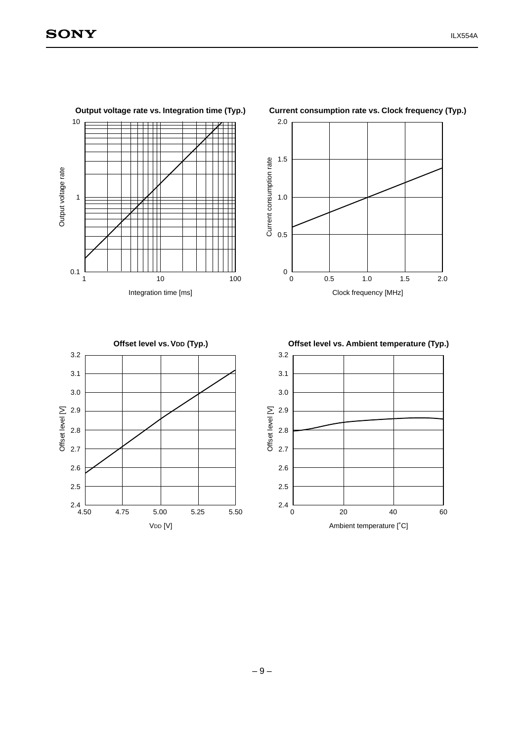**Output voltage rate vs. Integration time (Typ.)**

V<sub>DD</sub> [V]



## **Current consumption rate vs. Clock frequency (Typ.)**

Ambient temperature [˚C]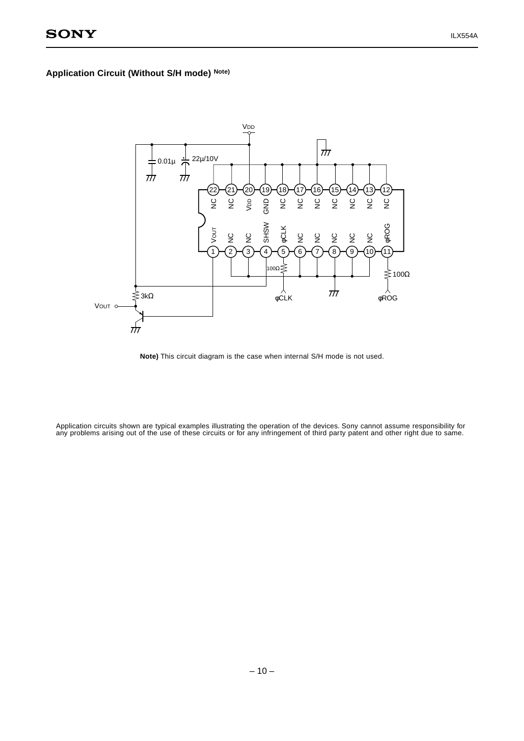## **Application Circuit (Without S/H mode) Note)**



**Note)** This circuit diagram is the case when internal S/H mode is not used.

Application circuits shown are typical examples illustrating the operation of the devices. Sony cannot assume responsibility for any problems arising out of the use of these circuits or for any infringement of third party patent and other right due to same.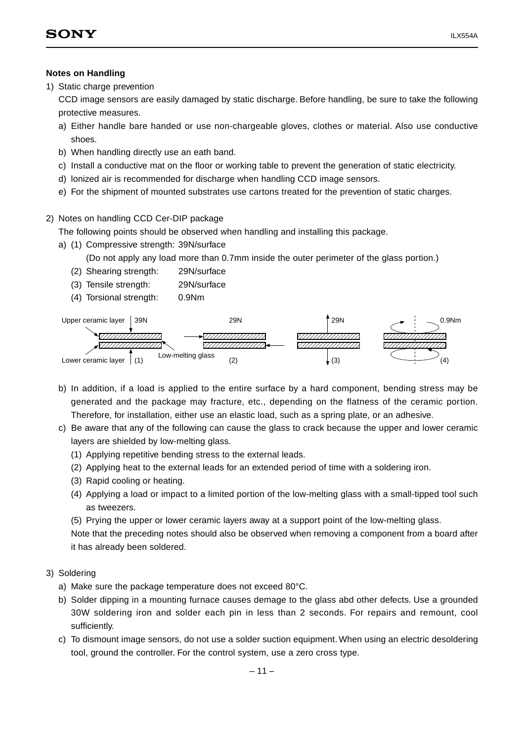#### **Notes on Handling**

1) Static charge prevention

CCD image sensors are easily damaged by static discharge. Before handling, be sure to take the following protective measures.

- a) Either handle bare handed or use non-chargeable gloves, clothes or material. Also use conductive shoes.
- b) When handling directly use an eath band.
- c) Install a conductive mat on the floor or working table to prevent the generation of static electricity.
- d) lonized air is recommended for discharge when handling CCD image sensors.
- e) For the shipment of mounted substrates use cartons treated for the prevention of static charges.

#### 2) Notes on handling CCD Cer-DIP package

The following points should be observed when handling and installing this package.

- a) (1) Compressive strength: 39N/surface
	- (Do not apply any load more than 0.7mm inside the outer perimeter of the glass portion.)
	- (2) Shearing strength: 29N/surface
	- (3) Tensile strength: 29N/surface
	- (4) Torsional strength: 0.9Nm



- b) In addition, if a load is applied to the entire surface by a hard component, bending stress may be generated and the package may fracture, etc., depending on the flatness of the ceramic portion. Therefore, for installation, either use an elastic load, such as a spring plate, or an adhesive.
- c) Be aware that any of the following can cause the glass to crack because the upper and lower ceramic layers are shielded by low-melting glass.
	- (1) Applying repetitive bending stress to the external leads.
	- (2) Applying heat to the external leads for an extended period of time with a soldering iron.
	- (3) Rapid cooling or heating.
	- (4) Applying a load or impact to a limited portion of the low-melting glass with a small-tipped tool such as tweezers.
	- (5) Prying the upper or lower ceramic layers away at a support point of the low-melting glass.

Note that the preceding notes should also be observed when removing a component from a board after it has already been soldered.

## 3) Soldering

- a) Make sure the package temperature does not exceed 80°C.
- b) Solder dipping in a mounting furnace causes demage to the glass abd other defects. Use a grounded 30W soldering iron and solder each pin in less than 2 seconds. For repairs and remount, cool sufficiently.
- c) To dismount image sensors, do not use a solder suction equipment. When using an electric desoldering tool, ground the controller. For the control system, use a zero cross type.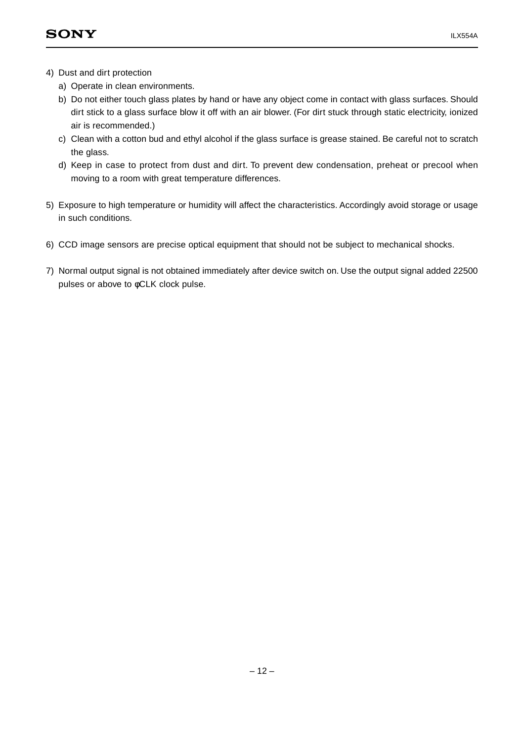- 4) Dust and dirt protection
	- a) Operate in clean environments.
	- b) Do not either touch glass plates by hand or have any object come in contact with glass surfaces. Should dirt stick to a glass surface blow it off with an air blower. (For dirt stuck through static electricity, ionized air is recommended.)
	- c) Clean with a cotton bud and ethyl alcohol if the glass surface is grease stained. Be careful not to scratch the glass.
	- d) Keep in case to protect from dust and dirt. To prevent dew condensation, preheat or precool when moving to a room with great temperature differences.
- 5) Exposure to high temperature or humidity will affect the characteristics. Accordingly avoid storage or usage in such conditions.
- 6) CCD image sensors are precise optical equipment that should not be subject to mechanical shocks.
- 7) Normal output signal is not obtained immediately after device switch on. Use the output signal added 22500 pulses or above to φCLK clock pulse.